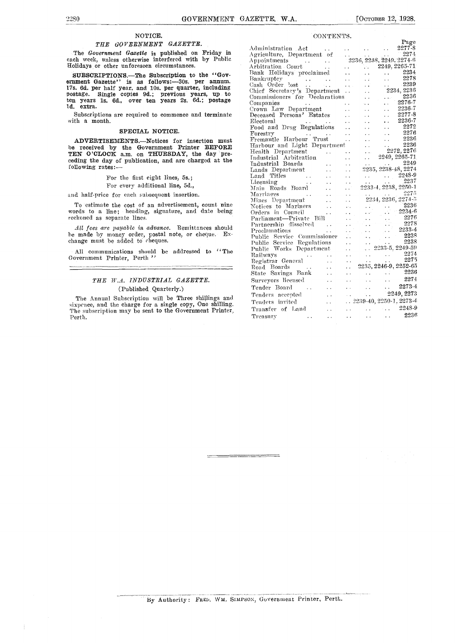#### NOTICE.

#### THE GOVERNMENT GAZETTE.

The Government Gazette is published on Friday in each week, unless otherwise interfered with by Public Holidays or other unforeseen circumstances.

SUBSCRIPTIONS.—The Subscription to the "Gov-<br>ernment Gazette" is as follows: 30s. per annum, 17s. 6d. per half year, and 10s. per quarter, including postage. Single copies 9d.; previous years, up to <sup>Unicr</sup>uen years 1s. 6d., over ten years 2s. 6d.; postage Commo ld. extra.

Subscriptions are required to commence and terminate with a month.

#### SPECIAL NOTICE.

ADVERTISEMENTS.-Notices for insertion must be received by the Government Printer BEFORE  $\rm_{Hochth}^{Harbour}$ TEN O'CLOCK a.m. on THURSDAY, the day pre-<br>ceding the day of publication, and are charged at the  ${}^{11}_{10}$   ${}^{11}_{01}$ ceding the day of publication, and are charged at the following rates:-

For the first eight lines, 5s.;

For every additional line, 5d.,

and half-price for each subsequent insertion.

To estimate the cost of an advertisement, count nine words to a line; heading, signature, and date being reckoned as separate lines.

All fees are payable in advance. Remittances should he made by money order, postal note, or cheque. Exchange must be added to cheques.

All communications should be addressed to "The Government Printer, Perth "

#### THE W.A. INDUSTRIAL GAZETTE. (Published Quarterly.)

The Annual Subscription will be Three shillings and sixpence, and the charge for a single copy, One shilling. The subscription may be sent to the Government Printer, Perth.

| CONTENTS.                                                                                                                                                                                                                                                                                                                                                                                                                                      |                                                                                 |
|------------------------------------------------------------------------------------------------------------------------------------------------------------------------------------------------------------------------------------------------------------------------------------------------------------------------------------------------------------------------------------------------------------------------------------------------|---------------------------------------------------------------------------------|
|                                                                                                                                                                                                                                                                                                                                                                                                                                                | Page                                                                            |
|                                                                                                                                                                                                                                                                                                                                                                                                                                                |                                                                                 |
|                                                                                                                                                                                                                                                                                                                                                                                                                                                |                                                                                 |
|                                                                                                                                                                                                                                                                                                                                                                                                                                                |                                                                                 |
|                                                                                                                                                                                                                                                                                                                                                                                                                                                |                                                                                 |
|                                                                                                                                                                                                                                                                                                                                                                                                                                                |                                                                                 |
|                                                                                                                                                                                                                                                                                                                                                                                                                                                |                                                                                 |
|                                                                                                                                                                                                                                                                                                                                                                                                                                                |                                                                                 |
|                                                                                                                                                                                                                                                                                                                                                                                                                                                |                                                                                 |
|                                                                                                                                                                                                                                                                                                                                                                                                                                                |                                                                                 |
|                                                                                                                                                                                                                                                                                                                                                                                                                                                |                                                                                 |
|                                                                                                                                                                                                                                                                                                                                                                                                                                                |                                                                                 |
|                                                                                                                                                                                                                                                                                                                                                                                                                                                |                                                                                 |
|                                                                                                                                                                                                                                                                                                                                                                                                                                                |                                                                                 |
|                                                                                                                                                                                                                                                                                                                                                                                                                                                |                                                                                 |
| $\begin{tabular}{l c c c c} \hline \textbf{RINL} & \textbf{2249, 2205} & \textbf{2249, 2205} & \textbf{2249, 2205} \\ \hline Bank Hobidays' procedure & . & . & . & . & . & . & . & . & . \\ \hline BankFor the image & . & . & . & . & . & . & . & . & . & . & . & . \\ \hline \textbf{2278} & & & & & & & & & . & . & . & . & . & . & . \\ \hline \textbf{2289} & & & & & & & & & . & . & . & . & . & . & . & . & . & . \\ \hline \textbf{2$ |                                                                                 |
|                                                                                                                                                                                                                                                                                                                                                                                                                                                |                                                                                 |
|                                                                                                                                                                                                                                                                                                                                                                                                                                                |                                                                                 |
|                                                                                                                                                                                                                                                                                                                                                                                                                                                |                                                                                 |
|                                                                                                                                                                                                                                                                                                                                                                                                                                                |                                                                                 |
|                                                                                                                                                                                                                                                                                                                                                                                                                                                |                                                                                 |
|                                                                                                                                                                                                                                                                                                                                                                                                                                                |                                                                                 |
|                                                                                                                                                                                                                                                                                                                                                                                                                                                |                                                                                 |
| $[{\bf 1} \hbox{2017} \hbox{218} \hbox{1cm} \hbox{2218} \hbox{1cm} \hbox{2218} \hbox{2218} \hbox{2219} \hbox{2210} \hbox{2210} \hbox{2211} \hbox{2211} \hbox{2212} \hbox{2213} \hbox{2214} \hbox{2215} \hbox{2216} \hbox{3217} \hbox{3218} \hbox{3219} \hbox{3210} \hbox{3210} \hbox{3210} \hbox{3210} \hbox$                                                                                                                                  |                                                                                 |
|                                                                                                                                                                                                                                                                                                                                                                                                                                                |                                                                                 |
|                                                                                                                                                                                                                                                                                                                                                                                                                                                |                                                                                 |
|                                                                                                                                                                                                                                                                                                                                                                                                                                                |                                                                                 |
|                                                                                                                                                                                                                                                                                                                                                                                                                                                |                                                                                 |
|                                                                                                                                                                                                                                                                                                                                                                                                                                                |                                                                                 |
|                                                                                                                                                                                                                                                                                                                                                                                                                                                |                                                                                 |
|                                                                                                                                                                                                                                                                                                                                                                                                                                                |                                                                                 |
|                                                                                                                                                                                                                                                                                                                                                                                                                                                |                                                                                 |
|                                                                                                                                                                                                                                                                                                                                                                                                                                                |                                                                                 |
|                                                                                                                                                                                                                                                                                                                                                                                                                                                |                                                                                 |
|                                                                                                                                                                                                                                                                                                                                                                                                                                                |                                                                                 |
|                                                                                                                                                                                                                                                                                                                                                                                                                                                |                                                                                 |
|                                                                                                                                                                                                                                                                                                                                                                                                                                                |                                                                                 |
|                                                                                                                                                                                                                                                                                                                                                                                                                                                |                                                                                 |
| Railways<br>Registrar General<br>Registrar General<br>Road Boards<br>State Savings Bank<br>Surveyors licensed<br>Contact Contact Contact Contact Contact Contact Contact Contact Contact Contact Contact Contact Contact Contact Contact C                                                                                                                                                                                                     |                                                                                 |
|                                                                                                                                                                                                                                                                                                                                                                                                                                                |                                                                                 |
| Tender Board                                                                                                                                                                                                                                                                                                                                                                                                                                   | <b>1998</b> . The contract of the contract of $2273-4$                          |
|                                                                                                                                                                                                                                                                                                                                                                                                                                                |                                                                                 |
|                                                                                                                                                                                                                                                                                                                                                                                                                                                |                                                                                 |
| Tenders invited   2239-40, 2250-1, 2273-4                                                                                                                                                                                                                                                                                                                                                                                                      |                                                                                 |
| Transfer of Land<br>$\langle\ldots\rangle$                                                                                                                                                                                                                                                                                                                                                                                                     | $\ldots$ 2248-9                                                                 |
| Treasury<br>$\mathcal{L}_{\text{max}}$ and $\mathcal{L}_{\text{max}}$ and $\mathcal{L}_{\text{max}}$                                                                                                                                                                                                                                                                                                                                           | $\sim 100$ km s $^{-1}$<br>2236<br>$\mathbf{r}$ , $\mathbf{r}$<br>$\sim$ $\sim$ |
|                                                                                                                                                                                                                                                                                                                                                                                                                                                |                                                                                 |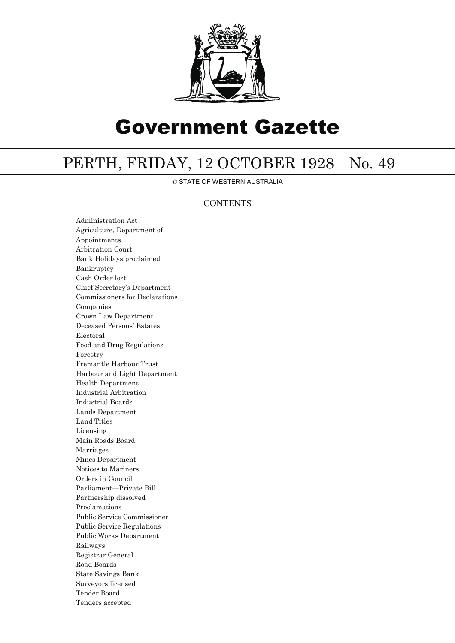

# Government Gazette

## PERTH, FRIDAY, 12 OCTOBER 1928 No. 49

© STATE OF WESTERN AUSTRALIA

### **CONTENTS**

Administration Act Agriculture, Department of Appointments Arbitration Court Bank Holidays proclaimed Bankruptcy Cash Order lost Chief Secretary's Department Commissioners for Declarations Companies Crown Law Department Deceased Persons' Estates Electoral Food and Drug Regulations Forestry Fremantle Harbour Trust Harbour and Light Department Health Department Industrial Arbitration Industrial Boards Lands Department Land Titles Licensing Main Roads Board Marriages Mines Department Notices to Mariners Orders in Council Parliament—Private Bill Partnership dissolved Proclamations Public Service Commissioner Public Service Regulations Public Works Department Railways Registrar General Road Boards State Savings Bank Surveyors licensed Tender Board Tenders accepted